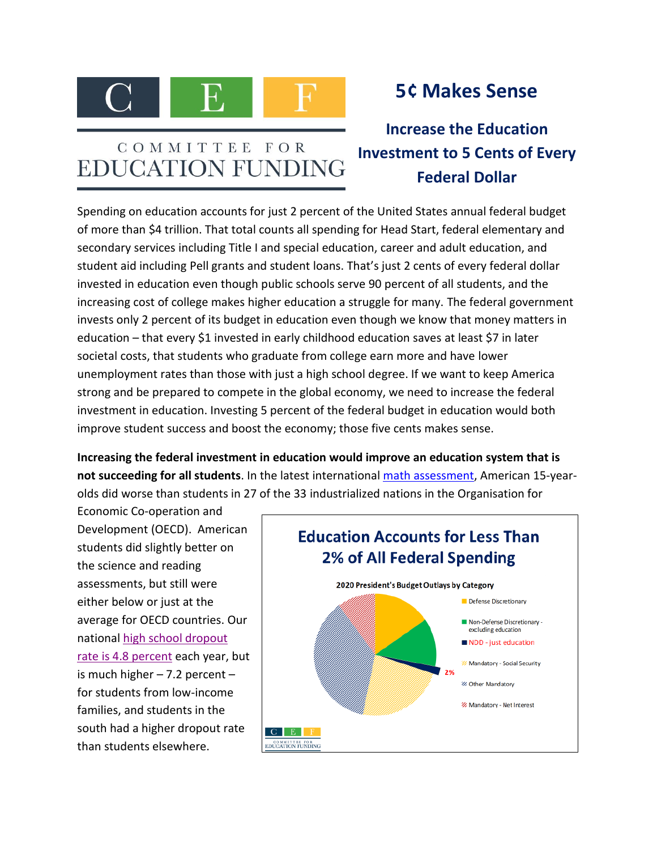

## COMMITTEE FOR **EDUCATION FUNDING**

## **5¢ Makes Sense**

**Increase the Education Investment to 5 Cents of Every Federal Dollar**

Spending on education accounts for just 2 percent of the United States annual federal budget of more than \$4 trillion. That total counts all spending for Head Start, federal elementary and secondary services including Title I and special education, career and adult education, and student aid including Pell grants and student loans. That's just 2 cents of every federal dollar invested in education even though public schools serve 90 percent of all students, and the increasing cost of college makes higher education a struggle for many. The federal government invests only 2 percent of its budget in education even though we know that money matters in education – that every \$1 invested in early childhood education saves at least \$7 in later societal costs, that students who graduate from college earn more and have lower unemployment rates than those with just a high school degree. If we want to keep America strong and be prepared to compete in the global economy, we need to increase the federal investment in education. Investing 5 percent of the federal budget in education would both improve student success and boost the economy; those five cents makes sense.

**Increasing the federal investment in education would improve an education system that is not succeeding for all students**. In the latest international [math assessment,](http://nces.ed.gov/surveys/pisa/pisa2012/pisa2012highlights_1.asp) American 15-yearolds did worse than students in 27 of the 33 industrialized nations in the Organisation for

Economic Co-operation and Development (OECD). American students did slightly better on the science and reading assessments, but still were either below or just at the average for OECD countries. Our national [high school dropout](http://nces.ed.gov/programs/dropout/ind_01.asp)  [rate is 4.8](http://nces.ed.gov/programs/dropout/ind_01.asp) percent each year, but is much higher  $-7.2$  percent  $$ for students from low-income families, and students in the south had a higher dropout rate than students elsewhere.

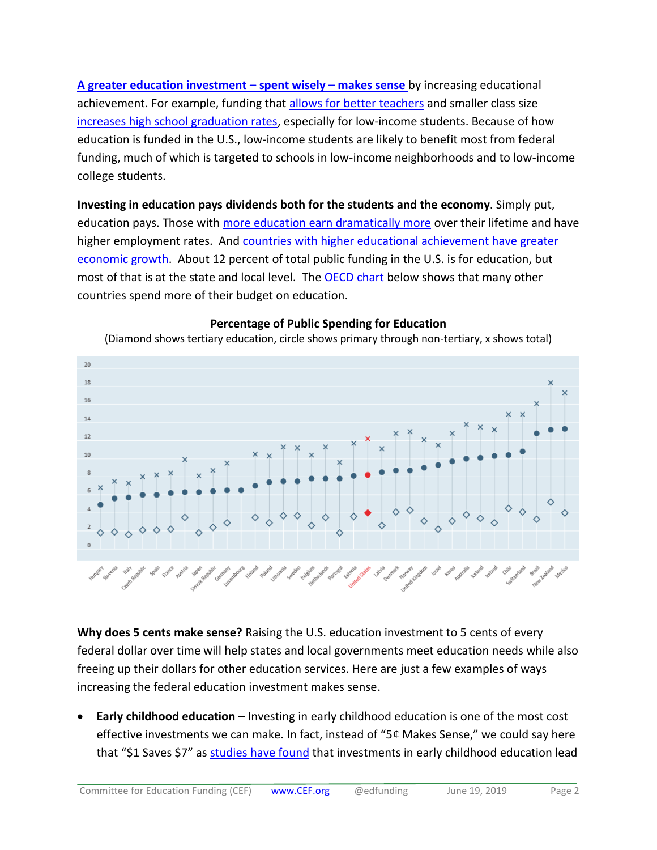**[A greater education investment](http://www.shankerinstitute.org/sites/shanker/files/moneymatters_edition2.pdf) – spent wisely – makes sense** by increasing educational achievement. For example, funding that [allows for better teachers](http://nepc.colorado.edu/files/publications/Mathis%20RBOPM-8%20Money%20Matters.pdf) and smaller class size increases [high school graduation rates,](https://www.brookings.edu/opinions/does-money-matter/) especially for low-income students. Because of how education is funded in the U.S., low-income students are likely to benefit most from federal funding, much of which is targeted to schools in low-income neighborhoods and to low-income college students.

**Investing in education pays dividends both for the students and the economy**. Simply put, education pays. Those with [more education earn dramatically more](http://www.bls.gov/emp/ep_chart_001.htm) over their lifetime and have higher employment rates. And [countries with higher educational achievement have greater](http://hanushek.stanford.edu/sites/default/files/publications/Hanushek%2BWoessmann%202010%20IntEncEduc%202.pdf) [economic growth.](http://hanushek.stanford.edu/sites/default/files/publications/Hanushek%2BWoessmann%202010%20IntEncEduc%202.pdf) About 12 percent of total public funding in the U.S. is for education, but most of that is at the state and local level. The [OECD chart](https://data.oecd.org/eduresource/public-spending-on-education.htm) below shows that many other countries spend more of their budget on education.



## **Percentage of Public Spending for Education**

**Why does 5 cents make sense?** Raising the U.S. education investment to 5 cents of every federal dollar over time will help states and local governments meet education needs while also freeing up their dollars for other education services. Here are just a few examples of ways increasing the federal education investment makes sense.

• **Early childhood education** – Investing in early childhood education is one of the most cost effective investments we can make. In fact, instead of " $5¢$  Makes Sense," we could say here that "\$1 Saves \$7" as [studies have found](https://firstfocus.org/blog/how-does-the-u-s-rank-on-early-childhood-education-hint-not-well/) that investments in early childhood education lead